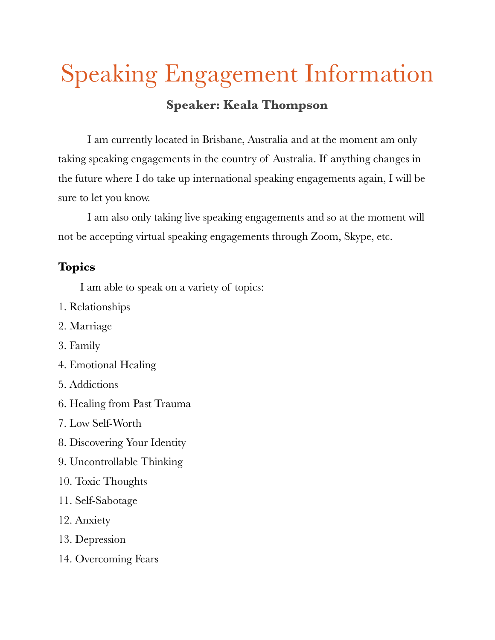## Speaking Engagement Information **Speaker: Keala Thompson**

I am currently located in Brisbane, Australia and at the moment am only taking speaking engagements in the country of Australia. If anything changes in the future where I do take up international speaking engagements again, I will be sure to let you know.

I am also only taking live speaking engagements and so at the moment will not be accepting virtual speaking engagements through Zoom, Skype, etc.

## **Topics**

I am able to speak on a variety of topics:

- 1. Relationships
- 2. Marriage
- 3. Family
- 4. Emotional Healing
- 5. Addictions
- 6. Healing from Past Trauma
- 7. Low Self-Worth
- 8. Discovering Your Identity
- 9. Uncontrollable Thinking
- 10. Toxic Thoughts
- 11. Self-Sabotage
- 12. Anxiety
- 13. Depression
- 14. Overcoming Fears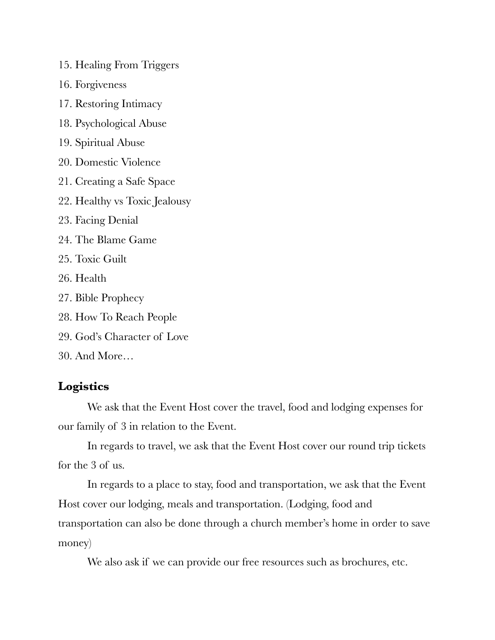- 15. Healing From Triggers
- 16. Forgiveness
- 17. Restoring Intimacy
- 18. Psychological Abuse
- 19. Spiritual Abuse
- 20. Domestic Violence
- 21. Creating a Safe Space
- 22. Healthy vs Toxic Jealousy
- 23. Facing Denial
- 24. The Blame Game
- 25. Toxic Guilt
- 26. Health
- 27. Bible Prophecy
- 28. How To Reach People
- 29. God's Character of Love
- 30. And More…

## **Logistics**

We ask that the Event Host cover the travel, food and lodging expenses for our family of 3 in relation to the Event.

In regards to travel, we ask that the Event Host cover our round trip tickets for the 3 of us.

In regards to a place to stay, food and transportation, we ask that the Event Host cover our lodging, meals and transportation. (Lodging, food and transportation can also be done through a church member's home in order to save money)

We also ask if we can provide our free resources such as brochures, etc.